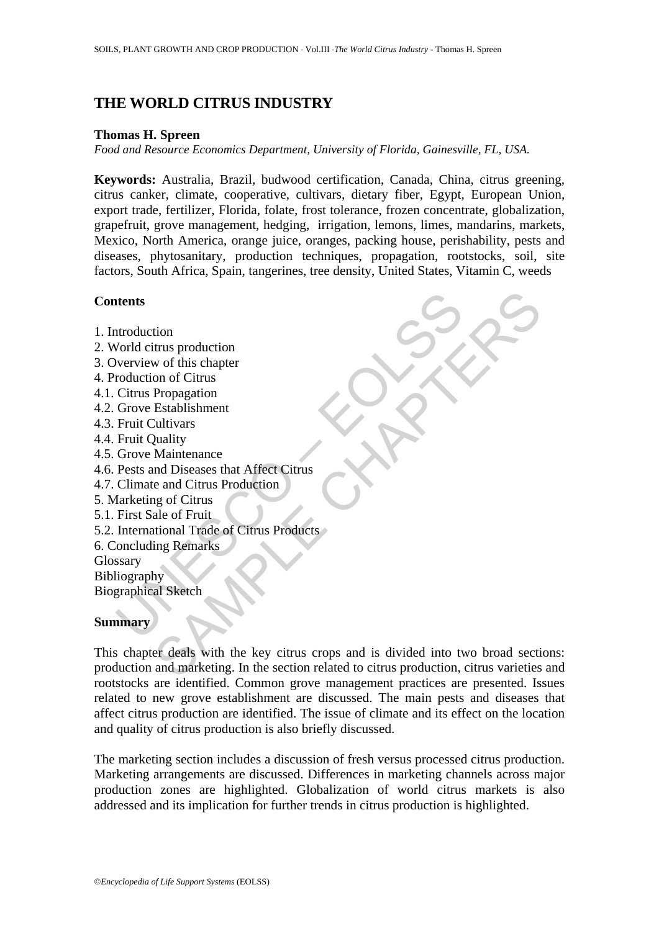# **THE WORLD CITRUS INDUSTRY**

#### **Thomas H. Spreen**

*Food and Resource Economics Department, University of Florida, Gainesville, FL, USA.* 

**Keywords:** Australia, Brazil, budwood certification, Canada, China, citrus greening, citrus canker, climate, cooperative, cultivars, dietary fiber, Egypt, European Union, export trade, fertilizer, Florida, folate, frost tolerance, frozen concentrate, globalization, grapefruit, grove management, hedging, irrigation, lemons, limes, mandarins, markets, Mexico, North America, orange juice, oranges, packing house, perishability, pests and diseases, phytosanitary, production techniques, propagation, rootstocks, soil, site factors, South Africa, Spain, tangerines, tree density, United States, Vitamin C, weeds

### **Contents**

- 1. Introduction
- 2. World citrus production
- 3. Overview of this chapter
- 4. Production of Citrus
- 4.1. Citrus Propagation
- 4.2. Grove Establishment
- 4.3. Fruit Cultivars
- 4.4. Fruit Quality
- 4.5. Grove Maintenance
- 4.6. Pests and Diseases that Affect Citrus
- 4.7. Climate and Citrus Production
- 5. Marketing of Citrus
- 5.1. First Sale of Fruit
- **thermanumisms**<br>
and the distribution<br>
verview of this chapter<br>
verview of this chapter<br>
roduction of Cirus<br>
Cirus Propagation<br>
Grove Establishment<br>
Fruit Cultivars<br>
Fruit Quality<br>
Presets and Diseases that Affect Cirus<br>
C 5.2. International Trade of Citrus Products
- 6. Concluding Remarks
- Glossary

Bibliography

Biographical Sketch

### **Summary**

tion<br>
timus production<br>
w of this chapter<br>
on of Citrus<br>
on of Citrus<br>
Extablishment<br>
Extablishment<br>
Lultivars<br>
Maintenance<br>
and Citrus Production<br>
g of Citrus<br>
and Diseases that Affect Citrus<br>
and Diseases that Affect Cit This chapter deals with the key citrus crops and is divided into two broad sections: production and marketing. In the section related to citrus production, citrus varieties and rootstocks are identified. Common grove management practices are presented. Issues related to new grove establishment are discussed. The main pests and diseases that affect citrus production are identified. The issue of climate and its effect on the location and quality of citrus production is also briefly discussed.

The marketing section includes a discussion of fresh versus processed citrus production. Marketing arrangements are discussed. Differences in marketing channels across major production zones are highlighted. Globalization of world citrus markets is also addressed and its implication for further trends in citrus production is highlighted.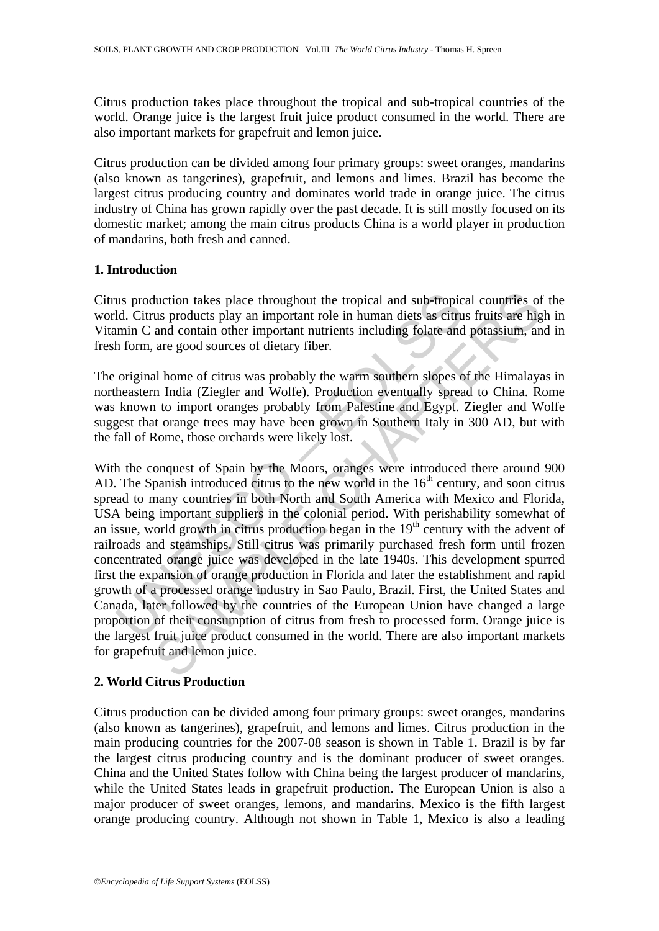Citrus production takes place throughout the tropical and sub-tropical countries of the world. Orange juice is the largest fruit juice product consumed in the world. There are also important markets for grapefruit and lemon juice.

Citrus production can be divided among four primary groups: sweet oranges, mandarins (also known as tangerines), grapefruit, and lemons and limes. Brazil has become the largest citrus producing country and dominates world trade in orange juice. The citrus industry of China has grown rapidly over the past decade. It is still mostly focused on its domestic market; among the main citrus products China is a world player in production of mandarins, both fresh and canned.

#### **1. Introduction**

Citrus production takes place throughout the tropical and sub-tropical countries of the world. Citrus products play an important role in human diets as citrus fruits are high in Vitamin C and contain other important nutrients including folate and potassium, and in fresh form, are good sources of dietary fiber.

The original home of citrus was probably the warm southern slopes of the Himalayas in northeastern India (Ziegler and Wolfe). Production eventually spread to China. Rome was known to import oranges probably from Palestine and Egypt. Ziegler and Wolfe suggest that orange trees may have been grown in Southern Italy in 300 AD, but with the fall of Rome, those orchards were likely lost.

us production takes place throughout the tropical and sub-tropic<br>ld. Citrus products play an important role in human diets as citru<br>min C and contain other important nutrients including folate and<br>h form, are good sources duction takes place throughout the tropical and sub-tropical countries of<br>sus products play an important role in human diets as citrus fruits are hig<br>and contain other important nutrients including folate and potassium, a With the conquest of Spain by the Moors, oranges were introduced there around 900 AD. The Spanish introduced citrus to the new world in the  $16<sup>th</sup>$  century, and soon citrus spread to many countries in both North and South America with Mexico and Florida, USA being important suppliers in the colonial period. With perishability somewhat of an issue, world growth in citrus production began in the  $19<sup>th</sup>$  century with the advent of railroads and steamships. Still citrus was primarily purchased fresh form until frozen concentrated orange juice was developed in the late 1940s. This development spurred first the expansion of orange production in Florida and later the establishment and rapid growth of a processed orange industry in Sao Paulo, Brazil. First, the United States and Canada, later followed by the countries of the European Union have changed a large proportion of their consumption of citrus from fresh to processed form. Orange juice is the largest fruit juice product consumed in the world. There are also important markets for grapefruit and lemon juice.

## **2. World Citrus Production**

Citrus production can be divided among four primary groups: sweet oranges, mandarins (also known as tangerines), grapefruit, and lemons and limes. Citrus production in the main producing countries for the 2007-08 season is shown in Table 1. Brazil is by far the largest citrus producing country and is the dominant producer of sweet oranges. China and the United States follow with China being the largest producer of mandarins, while the United States leads in grapefruit production. The European Union is also a major producer of sweet oranges, lemons, and mandarins. Mexico is the fifth largest orange producing country. Although not shown in Table 1, Mexico is also a leading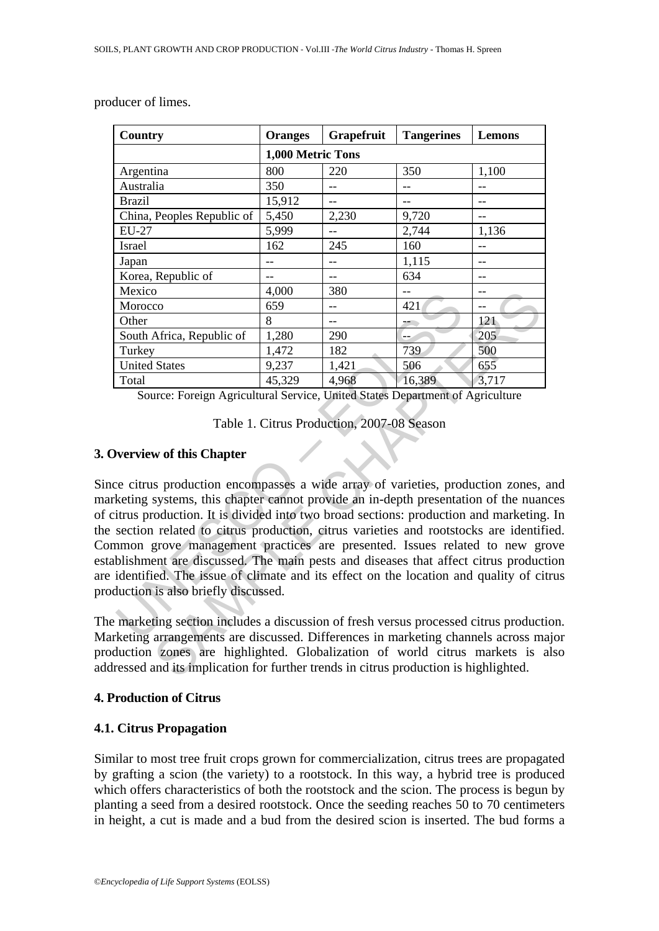| Country                    | <b>Oranges</b>    | Grapefruit | <b>Tangerines</b> | Lemons |  |  |
|----------------------------|-------------------|------------|-------------------|--------|--|--|
|                            | 1,000 Metric Tons |            |                   |        |  |  |
| Argentina                  | 800               | 220        | 350               | 1,100  |  |  |
| Australia                  | 350               |            | --                |        |  |  |
| <b>Brazil</b>              | 15,912            | --         | --                |        |  |  |
| China, Peoples Republic of | 5,450             | 2,230      | 9,720             |        |  |  |
| <b>EU-27</b>               | 5,999             |            | 2,744             | 1,136  |  |  |
| Israel                     | 162               | 245        | 160               |        |  |  |
| Japan                      |                   |            | 1,115             |        |  |  |
| Korea, Republic of         |                   |            | 634               |        |  |  |
| Mexico                     | 4,000             | 380        |                   |        |  |  |
| Morocco                    | 659               |            | 421               |        |  |  |
| Other                      | 8                 |            | --                | 121    |  |  |
| South Africa, Republic of  | 1,280             | 290        | --                | 205    |  |  |
| Turkey                     | 1,472             | 182        | 739               | 500    |  |  |
| <b>United States</b>       | 9,237             | 1,421      | 506               | 655    |  |  |
| Total                      | 45,329            | 4,968      | 16,389            | 3,717  |  |  |

producer of limes.

Source: Foreign Agricultural Service, United States Department of Agriculture

Table 1. Citrus Production, 2007-08 Season

### **3. Overview of this Chapter**

Mexico (459 – 1.400)<br>
Morocco (659 – 1.421 – 2.80 – 1.421 – 2.80 – 1.421 – 2.80 – 2.90 – 2.1 – 2.80 – 2.90 – 2.90 – 2.90 – 2.90 – 2.90 – 2.90 – 2.90 – 2.90 – 2.90 – 2.90 – 2.90 – 2.90 – 2.90 – 2.90 – 2.91 – 1.421 – 2.90 –  $\frac{4,000}{659}$ <br>  $\frac{4,000}{1,472}$  8<br>  $\frac{121}{1,422}$  8<br>  $\frac{1}{2}$ <br>  $\frac{1}{2}$ <br>  $\frac{1}{2}$ <br>  $\frac{1}{2}$ <br>  $\frac{1}{2}$ <br>  $\frac{1}{2}$ <br>  $\frac{1}{2}$ <br>  $\frac{1}{2}$ <br>  $\frac{1}{2}$ <br>  $\frac{1}{2}$ <br>  $\frac{1}{2}$ <br>  $\frac{1}{2}$ <br>  $\frac{1}{2}$ <br>  $\frac{1}{2}$ <br>  $\frac{1}{2}$ <br> Since citrus production encompasses a wide array of varieties, production zones, and marketing systems, this chapter cannot provide an in-depth presentation of the nuances of citrus production. It is divided into two broad sections: production and marketing. In the section related to citrus production, citrus varieties and rootstocks are identified. Common grove management practices are presented. Issues related to new grove establishment are discussed. The main pests and diseases that affect citrus production are identified. The issue of climate and its effect on the location and quality of citrus production is also briefly discussed.

The marketing section includes a discussion of fresh versus processed citrus production. Marketing arrangements are discussed. Differences in marketing channels across major production zones are highlighted. Globalization of world citrus markets is also addressed and its implication for further trends in citrus production is highlighted.

## **4. Production of Citrus**

## **4.1. Citrus Propagation**

Similar to most tree fruit crops grown for commercialization, citrus trees are propagated by grafting a scion (the variety) to a rootstock. In this way, a hybrid tree is produced which offers characteristics of both the rootstock and the scion. The process is begun by planting a seed from a desired rootstock. Once the seeding reaches 50 to 70 centimeters in height, a cut is made and a bud from the desired scion is inserted. The bud forms a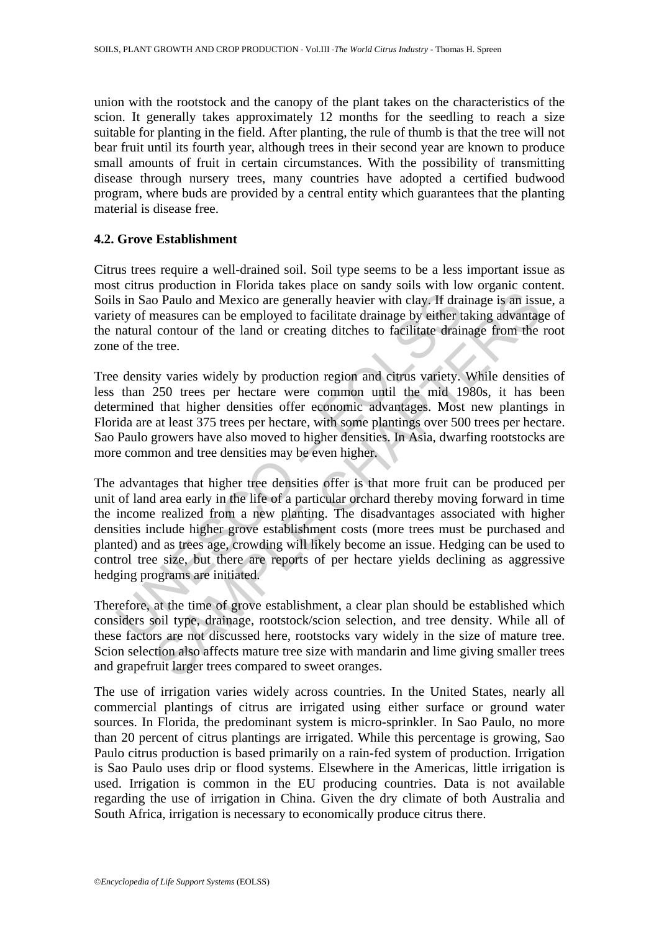union with the rootstock and the canopy of the plant takes on the characteristics of the scion. It generally takes approximately 12 months for the seedling to reach a size suitable for planting in the field. After planting, the rule of thumb is that the tree will not bear fruit until its fourth year, although trees in their second year are known to produce small amounts of fruit in certain circumstances. With the possibility of transmitting disease through nursery trees, many countries have adopted a certified budwood program, where buds are provided by a central entity which guarantees that the planting material is disease free.

#### **4.2. Grove Establishment**

Citrus trees require a well-drained soil. Soil type seems to be a less important issue as most citrus production in Florida takes place on sandy soils with low organic content. Soils in Sao Paulo and Mexico are generally heavier with clay. If drainage is an issue, a variety of measures can be employed to facilitate drainage by either taking advantage of the natural contour of the land or creating ditches to facilitate drainage from the root zone of the tree.

Tree density varies widely by production region and citrus variety. While densities of less than 250 trees per hectare were common until the mid 1980s, it has been determined that higher densities offer economic advantages. Most new plantings in Florida are at least 375 trees per hectare, with some plantings over 500 trees per hectare. Sao Paulo growers have also moved to higher densities. In Asia, dwarfing rootstocks are more common and tree densities may be even higher.

s in Sao Paulo and Mexico are generally heavier with clay. If dra<br>ety of measures can be employed to facilitate drainage by either tratural contour of the land or creating ditches to facilitate drain<br>e of the tree.<br>e densi The positive of the land Mexico are generally heavier with clay. If drainage is an issue<br>assures can be employed to facilitate drainage by either taking advantage<br>contour of the land or creating diches to facilitate draina The advantages that higher tree densities offer is that more fruit can be produced per unit of land area early in the life of a particular orchard thereby moving forward in time the income realized from a new planting. The disadvantages associated with higher densities include higher grove establishment costs (more trees must be purchased and planted) and as trees age, crowding will likely become an issue. Hedging can be used to control tree size, but there are reports of per hectare yields declining as aggressive hedging programs are initiated.

Therefore, at the time of grove establishment, a clear plan should be established which considers soil type, drainage, rootstock/scion selection, and tree density. While all of these factors are not discussed here, rootstocks vary widely in the size of mature tree. Scion selection also affects mature tree size with mandarin and lime giving smaller trees and grapefruit larger trees compared to sweet oranges.

The use of irrigation varies widely across countries. In the United States, nearly all commercial plantings of citrus are irrigated using either surface or ground water sources. In Florida, the predominant system is micro-sprinkler. In Sao Paulo, no more than 20 percent of citrus plantings are irrigated. While this percentage is growing, Sao Paulo citrus production is based primarily on a rain-fed system of production. Irrigation is Sao Paulo uses drip or flood systems. Elsewhere in the Americas, little irrigation is used. Irrigation is common in the EU producing countries. Data is not available regarding the use of irrigation in China. Given the dry climate of both Australia and South Africa, irrigation is necessary to economically produce citrus there.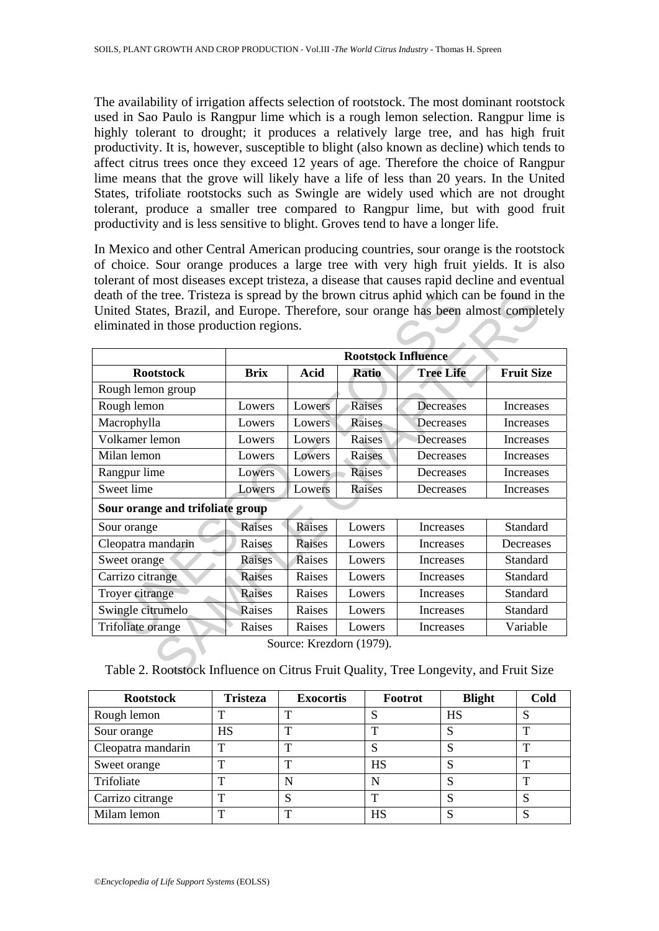The availability of irrigation affects selection of rootstock. The most dominant rootstock used in Sao Paulo is Rangpur lime which is a rough lemon selection. Rangpur lime is highly tolerant to drought; it produces a relatively large tree, and has high fruit productivity. It is, however, susceptible to blight (also known as decline) which tends to affect citrus trees once they exceed 12 years of age. Therefore the choice of Rangpur lime means that the grove will likely have a life of less than 20 years. In the United States, trifoliate rootstocks such as Swingle are widely used which are not drought tolerant, produce a smaller tree compared to Rangpur lime, but with good fruit productivity and is less sensitive to blight. Groves tend to have a longer life.

In Mexico and other Central American producing countries, sour orange is the rootstock of choice. Sour orange produces a large tree with very high fruit yields. It is also tolerant of most diseases except tristeza, a disease that causes rapid decline and eventual death of the tree. Tristeza is spread by the brown citrus aphid which can be found in the United States, Brazil, and Europe. Therefore, sour orange has been almost completely eliminated in those production regions.

|                                  | <b>Rootstock Influence</b> |               |               |                  |                   |
|----------------------------------|----------------------------|---------------|---------------|------------------|-------------------|
| <b>Rootstock</b>                 | <b>Brix</b>                | <b>Acid</b>   | <b>Ratio</b>  | <b>Tree Life</b> | <b>Fruit Size</b> |
| Rough lemon group                |                            |               |               |                  |                   |
| Rough lemon                      | Lowers                     | Lowers        | <b>Raises</b> | Decreases        | Increases         |
| Macrophylla                      | Lowers                     | Lowers        | Raises        | Decreases        | Increases         |
| Volkamer lemon                   | Lowers                     | Lowers        | Raises        | Decreases        | Increases         |
| Milan lemon                      | Lowers                     | Lowers        | Raises        | Decreases        | Increases         |
| Rangpur lime                     | Lowers                     | Lowers        | <b>Raises</b> | Decreases        | Increases         |
| Sweet lime                       | Lowers                     | Lowers        | Raises        | Decreases        | Increases         |
| Sour orange and trifoliate group |                            |               |               |                  |                   |
| Sour orange                      | Raises                     | Raises        | Lowers        | Increases        | Standard          |
| Cleopatra mandarin               | Raises                     | <b>Raises</b> | Lowers        | Increases        | Decreases         |
| Sweet orange                     | Raises                     | Raises        | Lowers        | Increases        | Standard          |
| Carrizo citrange                 | <b>Raises</b>              | Raises        | Lowers        | Increases        | Standard          |
| Troyer citrange                  | Raises                     | Raises        | Lowers        | <b>Increases</b> | Standard          |
| Swingle citrumelo                | Raises                     | Raises        | Lowers        | Increases        | Standard          |
| Trifoliate orange                | Raises                     | Raises        | Lowers        | Increases        | Variable          |

Table 2. Rootstock Influence on Citrus Fruit Quality, Tree Longevity, and Fruit Size

| <b>Rootstock</b>   | <b>Tristeza</b> | <b>Exocortis</b> | Footrot   | <b>Blight</b> | Cold |
|--------------------|-----------------|------------------|-----------|---------------|------|
| Rough lemon        | ட               | ௱                | N         | HS            | S    |
| Sour orange        | <b>HS</b>       | ௱                | ᡣ         |               |      |
| Cleopatra mandarin | $\mathbf{T}$    | ௱                |           |               | ௱    |
| Sweet orange       | $\mathbf{T}$    | ௱                | <b>HS</b> | Ő             | ጥ    |
| Trifoliate         | m               |                  | N         |               | ᡣ    |
| Carrizo citrange   | ௱               |                  | ௱         |               |      |
| Milam lemon        | ௱               |                  | HS        |               | د    |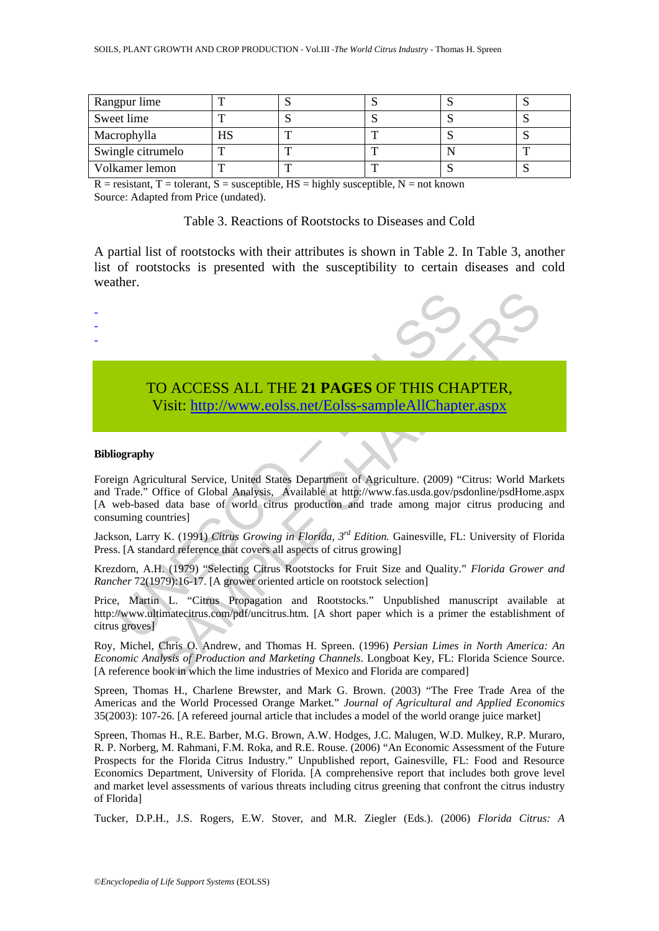| Rangpur lime      |  |  |     |
|-------------------|--|--|-----|
| Sweet lime        |  |  |     |
| Macrophylla       |  |  |     |
| Swingle citrumelo |  |  |     |
| Volkamer lemon    |  |  | . . |

 $R =$  resistant,  $T =$  tolerant,  $S =$  susceptible,  $HS =$  highly susceptible,  $N =$  not known Source: Adapted from Price (undated).

Table 3. Reactions of Rootstocks to Diseases and Cold

A partial list of rootstocks with their attributes is shown in Table 2. In Table 3, another list of rootstocks is presented with the susceptibility to certain diseases and cold weather.



-



# TO ACCESS ALL THE **21 PAGES** OF THIS CHAPTER, Visit: http://www.eolss.net/Eolss-sampleAllChapter.aspx

#### **Bibliography**

TO ACCESS ALL THE 21 PAGES OF THIS CHANNEL Visit: http://www.eolss.net/Eolss-sampleAllChapte Visit: http://www.eolss.net/Eolss-sampleAllChapte (ography<br>
ign Agricultural Service, United States Department of Agriculture. (2 CO ACCESS ALL THE 21 PAGES OF THIS CH[APT](https://www.eolss.net/ebooklib/sc_cart.aspx?File=E1-05A-39-00)ER,<br>
Visit:  $\frac{http://www.eolss.net/Eolss-sampleAllChapter.aspx}{http://www.eolss.net/Eolss-sampleAllChapter.aspx}$ <br>
Continuon Service, United States Department of Agriculture. (2009) "Citrus: World Ma<br>
Office of Global Analysis. Available a Foreign Agricultural Service, United States Department of Agriculture. (2009) "Citrus: World Markets and Trade." Office of Global Analysis, Available at http://www.fas.usda.gov/psdonline/psdHome.aspx [A web-based data base of world citrus production and trade among major citrus producing and consuming countries]

Jackson, Larry K. (1991) *Citrus Growing in Florida, 3rd Edition.* Gainesville, FL: University of Florida Press. [A standard reference that covers all aspects of citrus growing]

Krezdorn, A.H. (1979) "Selecting Citrus Rootstocks for Fruit Size and Quality." *Florida Grower and Rancher* 72(1979):16-17. [A grower oriented article on rootstock selection]

Price, Martin L. "Citrus Propagation and Rootstocks." Unpublished manuscript available at http://www.ultimatecitrus.com/pdf/uncitrus.htm. [A short paper which is a primer the establishment of citrus groves]

Roy, Michel, Chris O. Andrew, and Thomas H. Spreen. (1996) *Persian Limes in North America: An Economic Analysis of Production and Marketing Channels*. Longboat Key, FL: Florida Science Source. [A reference book in which the lime industries of Mexico and Florida are compared]

Spreen, Thomas H., Charlene Brewster, and Mark G. Brown. (2003) "The Free Trade Area of the Americas and the World Processed Orange Market." *Journal of Agricultural and Applied Economics* 35(2003): 107-26. [A refereed journal article that includes a model of the world orange juice market]

Spreen, Thomas H., R.E. Barber, M.G. Brown, A.W. Hodges, J.C. Malugen, W.D. Mulkey, R.P. Muraro, R. P. Norberg, M. Rahmani, F.M. Roka, and R.E. Rouse. (2006) "An Economic Assessment of the Future Prospects for the Florida Citrus Industry." Unpublished report, Gainesville, FL: Food and Resource Economics Department, University of Florida. [A comprehensive report that includes both grove level and market level assessments of various threats including citrus greening that confront the citrus industry of Florida]

Tucker, D.P.H., J.S. Rogers, E.W. Stover, and M.R. Ziegler (Eds.). (2006) *Florida Citrus: A*